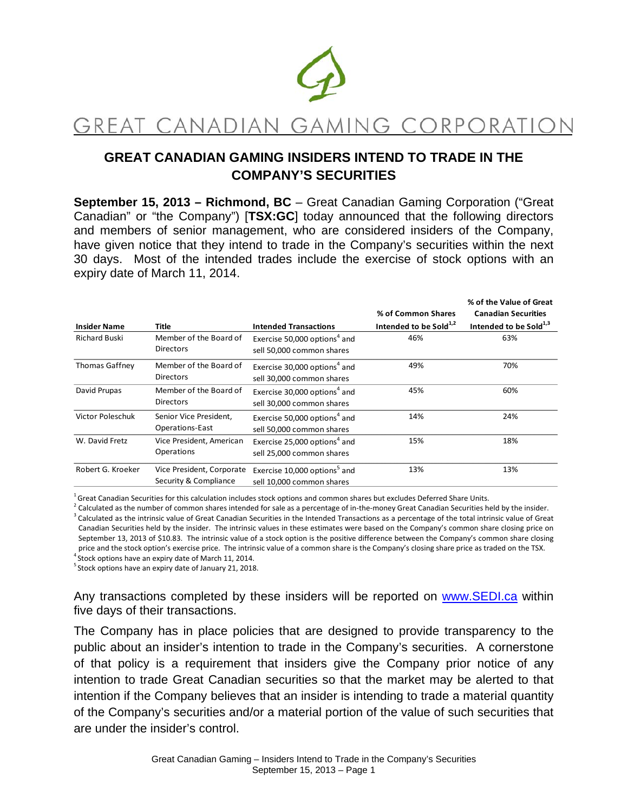

# GREAT CANADIAN GAMING CORPORATION

## **GREAT CANADIAN GAMING INSIDERS INTEND TO TRADE IN THE COMPANY'S SECURITIES**

**September 15, 2013 – Richmond, BC** – Great Canadian Gaming Corporation ("Great Canadian" or "the Company") [**TSX:GC**] today announced that the following directors and members of senior management, who are considered insiders of the Company, have given notice that they intend to trade in the Company's securities within the next 30 days. Most of the intended trades include the exercise of stock options with an expiry date of March 11, 2014.

|                      |                                                    |                                                                       |                                    | % of the Value of Great            |
|----------------------|----------------------------------------------------|-----------------------------------------------------------------------|------------------------------------|------------------------------------|
|                      |                                                    |                                                                       | % of Common Shares                 | <b>Canadian Securities</b>         |
| <b>Insider Name</b>  | Title                                              | <b>Intended Transactions</b>                                          | Intended to be Sold <sup>1,2</sup> | Intended to be Sold <sup>1,3</sup> |
| <b>Richard Buski</b> | Member of the Board of<br><b>Directors</b>         | Exercise 50,000 options <sup>4</sup> and<br>sell 50,000 common shares | 46%                                | 63%                                |
| Thomas Gaffney       | Member of the Board of<br><b>Directors</b>         | Exercise 30,000 options <sup>4</sup> and<br>sell 30,000 common shares | 49%                                | 70%                                |
| David Prupas         | Member of the Board of<br><b>Directors</b>         | Exercise 30,000 options <sup>4</sup> and<br>sell 30,000 common shares | 45%                                | 60%                                |
| Victor Poleschuk     | Senior Vice President,<br><b>Operations-East</b>   | Exercise 50,000 options <sup>4</sup> and<br>sell 50,000 common shares | 14%                                | 24%                                |
| W. David Fretz       | Vice President, American<br>Operations             | Exercise 25,000 options <sup>4</sup> and<br>sell 25,000 common shares | 15%                                | 18%                                |
| Robert G. Kroeker    | Vice President, Corporate<br>Security & Compliance | Exercise 10,000 options <sup>5</sup> and<br>sell 10,000 common shares | 13%                                | 13%                                |

<sup>1</sup> Great Canadian Securities for this calculation includes stock options and common shares but excludes Deferred Share Units.

 $^{2}$  Calculated as the number of common shares intended for sale as a percentage of in-the-money Great Canadian Securities held by the insider.

<sup>3</sup> Calculated as the intrinsic value of Great Canadian Securities in the Intended Transactions as a percentage of the total intrinsic value of Great Canadian Securities held by the insider. The intrinsic values in these estimates were based on the Company's common share closing price on September 13, 2013 of \$10.83. The intrinsic value of a stock option is the positive difference between the Company's common share closing price and the stock option's exercise price. The intrinsic value of a common share is the Company's closing share price as traded on the TSX.

 $^4$ Stock options have an expiry date of March 11, 2014.  $5$  Stock options have an expiry date of January 21, 2018.

Any transactions completed by these insiders will be reported on www.SEDI.ca within five days of their transactions.

The Company has in place policies that are designed to provide transparency to the public about an insider's intention to trade in the Company's securities. A cornerstone of that policy is a requirement that insiders give the Company prior notice of any intention to trade Great Canadian securities so that the market may be alerted to that intention if the Company believes that an insider is intending to trade a material quantity of the Company's securities and/or a material portion of the value of such securities that are under the insider's control.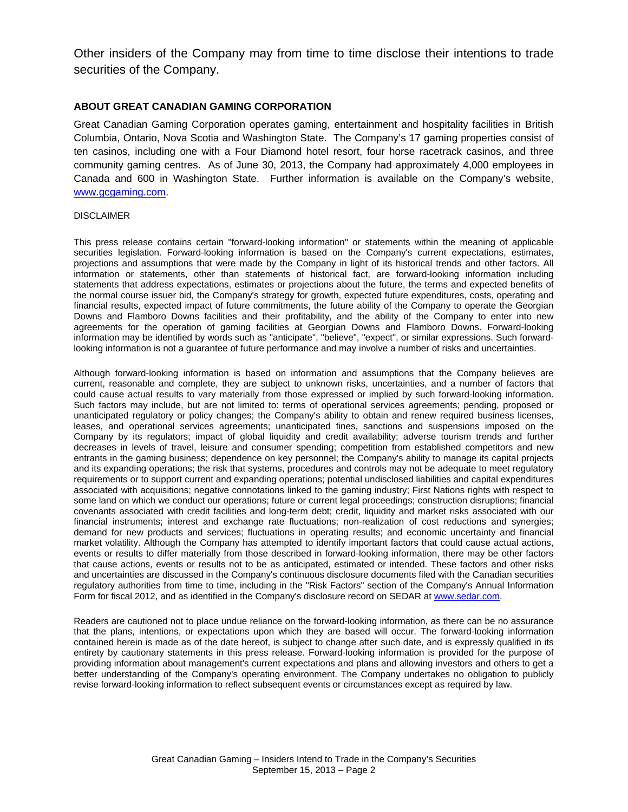Other insiders of the Company may from time to time disclose their intentions to trade securities of the Company.

### **ABOUT GREAT CANADIAN GAMING CORPORATION**

Great Canadian Gaming Corporation operates gaming, entertainment and hospitality facilities in British Columbia, Ontario, Nova Scotia and Washington State. The Company's 17 gaming properties consist of ten casinos, including one with a Four Diamond hotel resort, four horse racetrack casinos, and three community gaming centres. As of June 30, 2013, the Company had approximately 4,000 employees in Canada and 600 in Washington State. Further information is available on the Company's website, www.gcgaming.com.

#### DISCLAIMER

This press release contains certain "forward-looking information" or statements within the meaning of applicable securities legislation. Forward-looking information is based on the Company's current expectations, estimates, projections and assumptions that were made by the Company in light of its historical trends and other factors. All information or statements, other than statements of historical fact, are forward-looking information including statements that address expectations, estimates or projections about the future, the terms and expected benefits of the normal course issuer bid, the Company's strategy for growth, expected future expenditures, costs, operating and financial results, expected impact of future commitments, the future ability of the Company to operate the Georgian Downs and Flamboro Downs facilities and their profitability, and the ability of the Company to enter into new agreements for the operation of gaming facilities at Georgian Downs and Flamboro Downs. Forward-looking information may be identified by words such as "anticipate", "believe", "expect", or similar expressions. Such forwardlooking information is not a guarantee of future performance and may involve a number of risks and uncertainties.

Although forward-looking information is based on information and assumptions that the Company believes are current, reasonable and complete, they are subject to unknown risks, uncertainties, and a number of factors that could cause actual results to vary materially from those expressed or implied by such forward-looking information. Such factors may include, but are not limited to: terms of operational services agreements; pending, proposed or unanticipated regulatory or policy changes; the Company's ability to obtain and renew required business licenses, leases, and operational services agreements; unanticipated fines, sanctions and suspensions imposed on the Company by its regulators; impact of global liquidity and credit availability; adverse tourism trends and further decreases in levels of travel, leisure and consumer spending; competition from established competitors and new entrants in the gaming business; dependence on key personnel; the Company's ability to manage its capital projects and its expanding operations; the risk that systems, procedures and controls may not be adequate to meet regulatory requirements or to support current and expanding operations; potential undisclosed liabilities and capital expenditures associated with acquisitions; negative connotations linked to the gaming industry; First Nations rights with respect to some land on which we conduct our operations; future or current legal proceedings; construction disruptions; financial covenants associated with credit facilities and long-term debt; credit, liquidity and market risks associated with our financial instruments; interest and exchange rate fluctuations; non-realization of cost reductions and synergies; demand for new products and services; fluctuations in operating results; and economic uncertainty and financial market volatility. Although the Company has attempted to identify important factors that could cause actual actions, events or results to differ materially from those described in forward-looking information, there may be other factors that cause actions, events or results not to be as anticipated, estimated or intended. These factors and other risks and uncertainties are discussed in the Company's continuous disclosure documents filed with the Canadian securities regulatory authorities from time to time, including in the "Risk Factors" section of the Company's Annual Information Form for fiscal 2012, and as identified in the Company's disclosure record on SEDAR at www.sedar.com.

Readers are cautioned not to place undue reliance on the forward-looking information, as there can be no assurance that the plans, intentions, or expectations upon which they are based will occur. The forward-looking information contained herein is made as of the date hereof, is subject to change after such date, and is expressly qualified in its entirety by cautionary statements in this press release. Forward-looking information is provided for the purpose of providing information about management's current expectations and plans and allowing investors and others to get a better understanding of the Company's operating environment. The Company undertakes no obligation to publicly revise forward-looking information to reflect subsequent events or circumstances except as required by law.